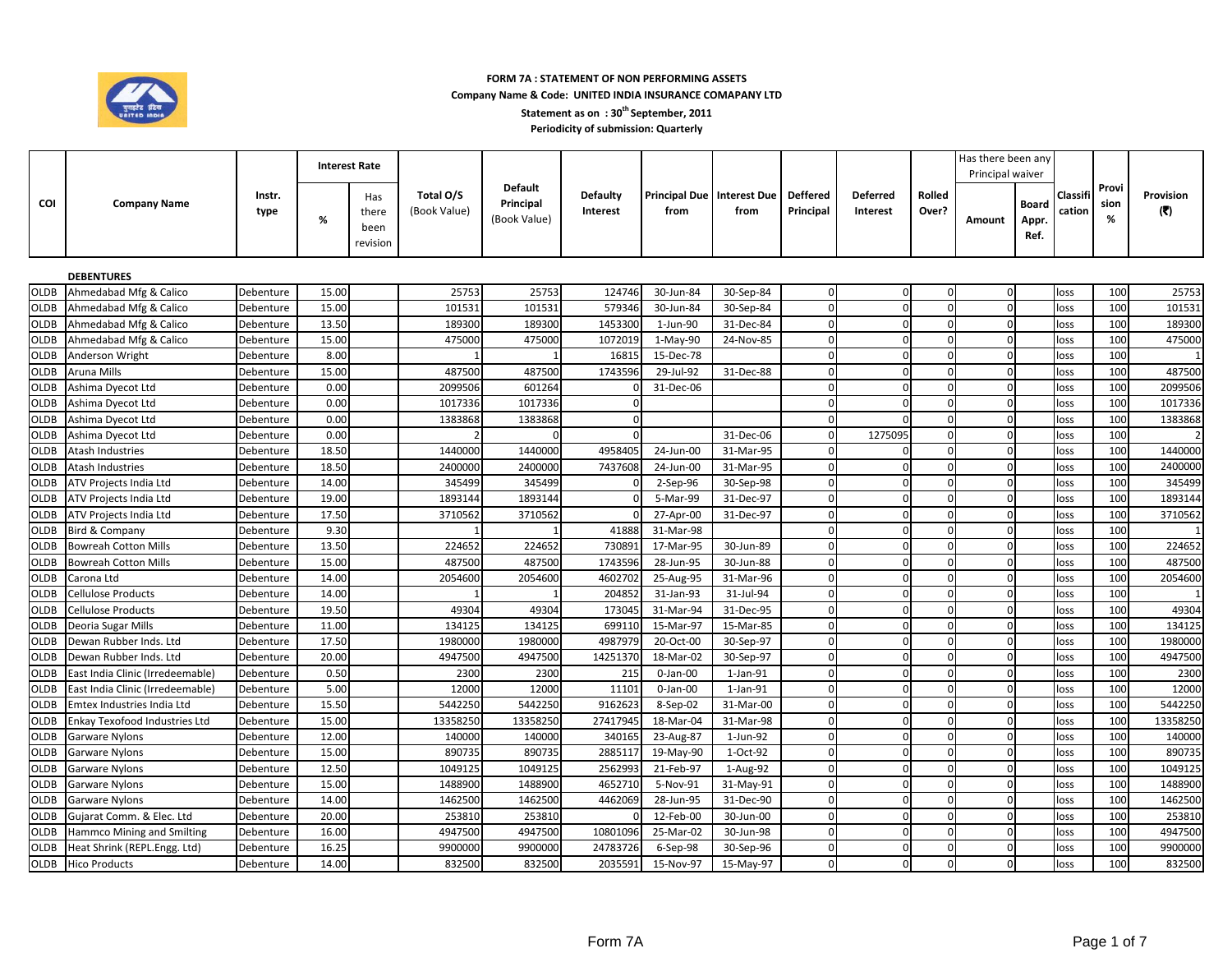

## FORM 7A : STATEMENT OF NON PERFORMING ASSETS

## Company Name & Code: UNITED INDIA INSURANCE COMAPANY LTD

Statement as on :  $30<sup>th</sup>$  September, 2011

Periodicity of submission: Quarterly

|             |                                  |                |                      |                                  |                           |                                             |                      |                                    |            |                              |                             |                 | Has there been any |                              |                   |                    |                  |
|-------------|----------------------------------|----------------|----------------------|----------------------------------|---------------------------|---------------------------------------------|----------------------|------------------------------------|------------|------------------------------|-----------------------------|-----------------|--------------------|------------------------------|-------------------|--------------------|------------------|
|             |                                  |                | <b>Interest Rate</b> |                                  |                           |                                             |                      |                                    |            |                              |                             |                 | Principal waiver   |                              |                   |                    |                  |
| <b>COI</b>  | <b>Company Name</b>              | Instr.<br>type | %                    | Has<br>there<br>been<br>revision | Total O/S<br>(Book Value) | <b>Default</b><br>Principal<br>(Book Value) | Defaulty<br>Interest | Principal Due Interest Due<br>from | from       | <b>Deffered</b><br>Principal | <b>Deferred</b><br>Interest | Rolled<br>Over? | Amount             | <b>Board</b><br>Appr<br>Ref. | Classif<br>cation | Provi<br>sion<br>% | Provision<br>(₹) |
|             | <b>DEBENTURES</b>                |                |                      |                                  |                           |                                             |                      |                                    |            |                              |                             |                 |                    |                              |                   |                    |                  |
| OLDB        | Ahmedabad Mfg & Calico           | Debenture      | 15.00                |                                  | 25753                     | 25753                                       | 124746               | 30-Jun-84                          | 30-Sep-84  | $\mathbf 0$                  | $\Omega$                    | $\mathbf 0$     | $\Omega$           |                              | loss              | 100                | 25753            |
| OLDB        | Ahmedabad Mfg & Calico           | Debenture      | 15.00                |                                  | 10153                     | 10153                                       | 579346               | 30-Jun-84                          | 30-Sep-84  | $\Omega$                     |                             | $\Omega$        | $\Omega$           |                              | loss              | 100                | 101531           |
| OLDB        | Ahmedabad Mfg & Calico           | Debenture      | 13.50                |                                  | 189300                    | 189300                                      | 1453300              | 1-Jun-90                           | 31-Dec-84  | $\Omega$                     |                             | $\Omega$        | $\Omega$           |                              | loss              | 100                | 189300           |
| OLDB        | Ahmedabad Mfg & Calico           | Debenture      | 15.00                |                                  | 475000                    | 475000                                      | 1072019              | 1-May-90                           | 24-Nov-85  | $\Omega$                     | $\sqrt{ }$                  | $\Omega$        | $\Omega$           |                              | loss              | 100                | 475000           |
| OLDB        | Anderson Wright                  | Debenture      | 8.00                 |                                  |                           |                                             | 16815                | 15-Dec-78                          |            | $\Omega$                     |                             | $\Omega$        | $\Omega$           |                              | loss              | 100                |                  |
| OLDB        | Aruna Mills                      | Debenture      | 15.00                |                                  | 487500                    | 487500                                      | 1743596              | 29-Jul-92                          | 31-Dec-88  |                              |                             | $\Omega$        | $\Omega$           |                              | loss              | 100                | 487500           |
| OLDB        | Ashima Dyecot Ltd                | Debenture      | 0.00                 |                                  | 2099506                   | 601264                                      | $\Omega$             | 31-Dec-06                          |            | $\Omega$                     | $\Omega$                    | $\mathbf 0$     | $\overline{0}$     |                              | loss              | 100                | 2099506          |
| OLDB        | Ashima Dyecot Ltd                | Debenture      | 0.00                 |                                  | 1017336                   | 1017336                                     | $\mathbf 0$          |                                    |            | $\Omega$                     | $\Omega$                    | $\mathbf 0$     | $\Omega$           |                              | loss              | 100                | 1017336          |
| OLDB        | Ashima Dyecot Ltd                | Debenture      | 0.00                 |                                  | 1383868                   | 1383868                                     | $\mathbf 0$          |                                    |            | $\Omega$                     |                             | $\mathbf 0$     | $\Omega$           |                              | loss              | 100                | 1383868          |
| OLDB        | Ashima Dyecot Ltd                | Debenture      | 0.00                 |                                  |                           |                                             | $\Omega$             |                                    | 31-Dec-06  | $\Omega$                     | 1275095                     | $\mathbf 0$     | $\overline{0}$     |                              | loss              | 100                |                  |
| OLDB        | Atash Industries                 | Debenture      | 18.50                |                                  | 1440000                   | 1440000                                     | 4958405              | 24-Jun-00                          | 31-Mar-95  | $\Omega$                     | $\Omega$                    | $\Omega$        | $\Omega$           |                              | loss              | 100                | 1440000          |
| OLDB        | Atash Industries                 | Debenture      | 18.50                |                                  | 240000                    | 2400000                                     | 7437608              | 24-Jun-00                          | 31-Mar-95  | $\Omega$                     | C                           | $\mathbf 0$     | $\Omega$           |                              | loss              | 100                | 2400000          |
| OLDB        | ATV Projects India Ltd           | Debenture      | 14.00                |                                  | 345499                    | 345499                                      |                      | 2-Sep-96                           | 30-Sep-98  |                              |                             | $\Omega$        | O                  |                              | loss              | 100                | 345499           |
| OLDB        | ATV Projects India Ltd           | Debenture      | 19.00                |                                  | 1893144                   | 1893144                                     | $\Omega$             | 5-Mar-99                           | 31-Dec-97  | $\Omega$                     |                             | $\Omega$        | $\Omega$           |                              | loss              | 100                | 1893144          |
| OLDB        | ATV Projects India Ltd           | Debenture      | 17.50                |                                  | 3710562                   | 3710562                                     |                      | 27-Apr-00                          | 31-Dec-97  | $\Omega$                     | C                           | $\Omega$        | $\Omega$           |                              | loss              | 100                | 3710562          |
| <b>OLDB</b> | Bird & Company                   | Debenture      | 9.30                 |                                  |                           |                                             | 41888                | 31-Mar-98                          |            | $\Omega$                     |                             | $\mathbf 0$     | $\Omega$           |                              | loss              | 100                |                  |
| OLDB        | <b>Bowreah Cotton Mills</b>      | Debenture      | 13.50                |                                  | 224652                    | 224652                                      | 730891               | 17-Mar-95                          | 30-Jun-89  |                              |                             | $\Omega$        | $\Omega$           |                              | loss              | 100                | 224652           |
| OLDB        | <b>Bowreah Cotton Mills</b>      | Debenture      | 15.00                |                                  | 487500                    | 487500                                      | 1743596              | 28-Jun-95                          | 30-Jun-88  | $\Omega$                     | $\Omega$                    | $\Omega$        | $\Omega$           |                              | loss              | 100                | 487500           |
| OLDB        | Carona Ltd                       | Debenture      | 14.00                |                                  | 2054600                   | 2054600                                     | 4602702              | 25-Aug-95                          | 31-Mar-96  | $\Omega$                     | $\sqrt{ }$                  | $\mathbf 0$     | $\Omega$           |                              | loss              | 100                | 2054600          |
| OLDB        | <b>Cellulose Products</b>        | Debenture      | 14.00                |                                  |                           |                                             | 204852               | 31-Jan-93                          | 31-Jul-94  | $\Omega$                     |                             | $\Omega$        | $\Omega$           |                              | loss              | 100                |                  |
| OLDB        | <b>Cellulose Products</b>        | Debenture      | 19.50                |                                  | 49304                     | 49304                                       | 173045               | 31-Mar-94                          | 31-Dec-95  | $\Omega$                     | C                           | $\Omega$        | $\Omega$           |                              | loss              | 100                | 49304            |
| OLDB        | Deoria Sugar Mills               | Debenture      | 11.00                |                                  | 13412                     | 134125                                      | 699110               | 15-Mar-97                          | 15-Mar-85  | $\Omega$                     | $\Omega$                    | $\Omega$        | $\Omega$           |                              | loss              | 100                | 134125           |
| OLDB        | Dewan Rubber Inds. Ltd           | Debenture      | 17.50                |                                  | 1980000                   | 1980000                                     | 4987979              | 20-Oct-00                          | 30-Sep-97  | $\Omega$                     |                             | $\Omega$        | $\Omega$           |                              | loss              | 100                | 1980000          |
| OLDB        | Dewan Rubber Inds. Ltd           | Debenture      | 20.00                |                                  | 4947500                   | 4947500                                     | 14251370             | 18-Mar-02                          | 30-Sep-97  |                              |                             | $\Omega$        | $\Omega$           |                              | loss              | 100                | 4947500          |
| OLDB        | East India Clinic (Irredeemable) | Debenture      | 0.50                 |                                  | 2300                      | 2300                                        | 215                  | $0$ -Jan- $00$                     | $1-Jan-91$ | $\Omega$                     | n                           | $\Omega$        | $\Omega$           |                              | loss              | 100                | 2300             |
| OLDB        | East India Clinic (Irredeemable) | Debenture      | 5.00                 |                                  | 12000                     | 12000                                       | 11101                | $0$ -Jan- $00$                     | $1-Jan-91$ | $\Omega$                     | C                           | $\Omega$        | $\Omega$           |                              | loss              | 100                | 12000            |
| OLDB        | Emtex Industries India Ltd       | Debenture      | 15.50                |                                  | 5442250                   | 5442250                                     | 9162623              | 8-Sep-02                           | 31-Mar-00  | $\Omega$                     |                             | $\Omega$        | $\Omega$           |                              | loss              | 100                | 5442250          |
| OLDB        | Enkay Texofood Industries Ltd    | Debenture      | 15.00                |                                  | 13358250                  | 13358250                                    | 27417945             | 18-Mar-04                          | 31-Mar-98  | $\Omega$                     |                             | $\Omega$        | O                  |                              | loss              | 100                | 13358250         |
| OLDB        | Garware Nylons                   | Debenture      | 12.00                |                                  | 140000                    | 140000                                      | 340165               | 23-Aug-87                          | 1-Jun-92   | $\Omega$                     | $\Omega$                    | $\mathbf 0$     | $\Omega$           |                              | loss              | 100                | 140000           |
| OLDB        | <b>Garware Nylons</b>            | Debenture      | 15.00                |                                  | 890735                    | 890735                                      | 2885117              | 19-May-90                          | 1-Oct-92   | $\Omega$                     | C                           | $\mathbf 0$     | $\Omega$           |                              | loss              | 100                | 890735           |
| OLDB        | Garware Nylons                   | Debenture      | 12.50                |                                  | 104912                    | 1049125                                     | 2562993              | 21-Feb-97                          | 1-Aug-92   |                              |                             | $\Omega$        | $\Omega$           |                              | loss              | 100                | 1049125          |
| OLDB        | Garware Nylons                   | Debenture      | 15.00                |                                  | 1488900                   | 1488900                                     | 4652710              | 5-Nov-91                           | 31-May-91  | $\Omega$                     | C                           | $\Omega$        | $\Omega$           |                              | loss              | 100                | 1488900          |
| OLDB        | Garware Nylons                   | Debenture      | 14.00                |                                  | 1462500                   | 1462500                                     | 4462069              | 28-Jun-95                          | 31-Dec-90  | $\Omega$                     | $\Omega$                    | $\Omega$        | $\Omega$           |                              | loss              | 100                | 1462500          |
| OLDB        | Gujarat Comm. & Elec. Ltd        | Debenture      | 20.00                |                                  | 253810                    | 253810                                      | $\Omega$             | 12-Feb-00                          | 30-Jun-00  | $\Omega$                     |                             | $\mathbf 0$     | $\Omega$           |                              | loss              | 100                | 253810           |
| OLDB        | Hammco Mining and Smilting       | Debenture      | 16.00                |                                  | 4947500                   | 4947500                                     | 10801096             | 25-Mar-02                          | 30-Jun-98  | $\Omega$                     |                             | $\mathbf 0$     | $\Omega$           |                              | loss              | 100                | 4947500          |
| OLDB        | Heat Shrink (REPL.Engg. Ltd)     | Debenture      | 16.25                |                                  | 9900000                   | 9900000                                     | 24783726             | $6-Sep-98$                         | 30-Sep-96  | $\Omega$                     | $\Omega$                    | $\Omega$        | $\Omega$           |                              | loss              | 100                | 9900000          |
| OLDB        | <b>Hico Products</b>             | Debenture      | 14.00                |                                  | 832500                    | 832500                                      | 2035591              | 15-Nov-97                          | 15-May-97  | $\Omega$                     |                             | $\Omega$        | $\Omega$           |                              | loss              | 100                | 832500           |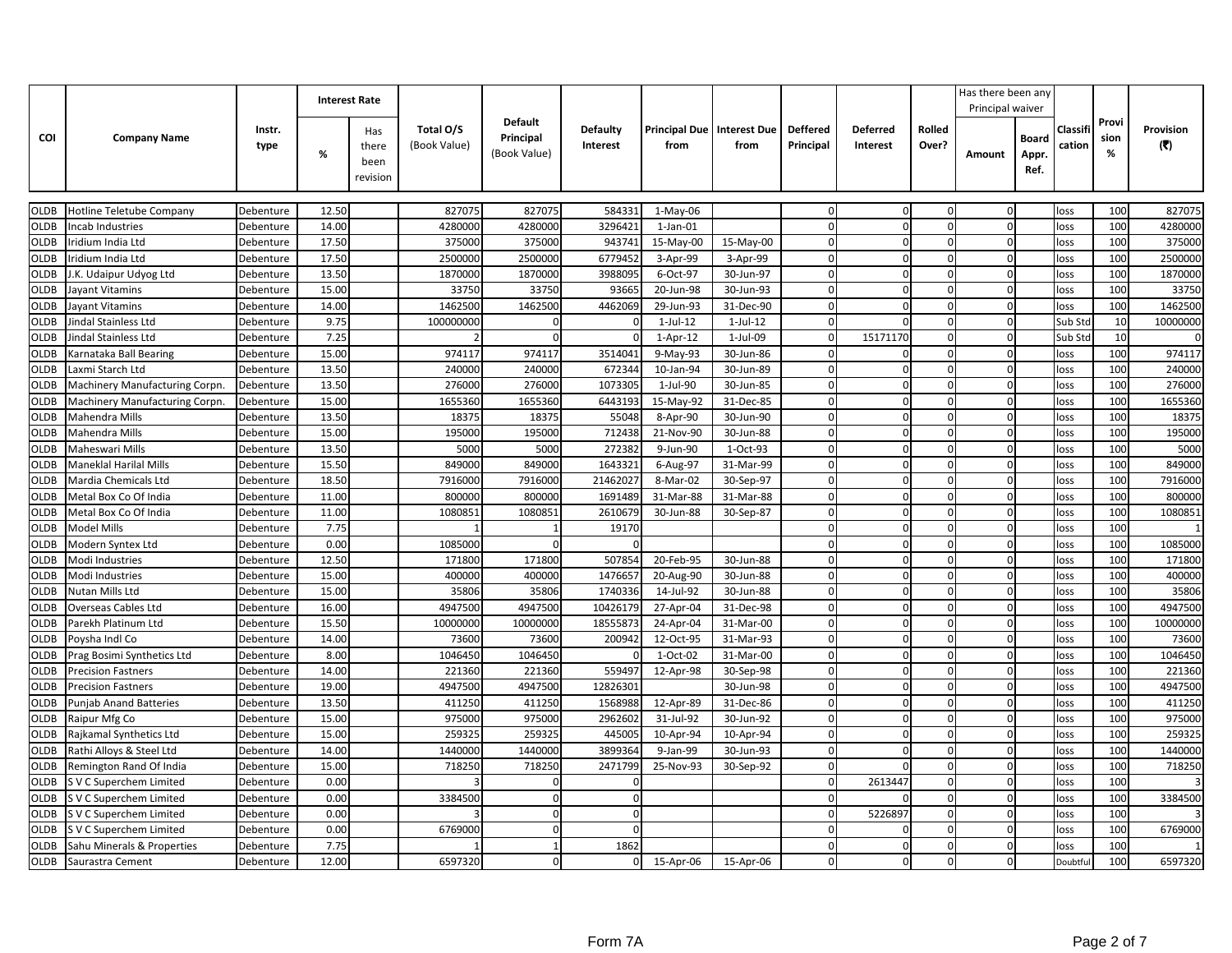|             |                                |                        | <b>Interest Rate</b> |                                  |                           |                                             |                      |                                           |             |                              |                             |                 | Has there been any<br>Principal waiver |                               |                   |                    |                  |
|-------------|--------------------------------|------------------------|----------------------|----------------------------------|---------------------------|---------------------------------------------|----------------------|-------------------------------------------|-------------|------------------------------|-----------------------------|-----------------|----------------------------------------|-------------------------------|-------------------|--------------------|------------------|
| <b>COI</b>  | <b>Company Name</b>            | Instr.<br>type         | %                    | Has<br>there<br>been<br>revision | Total O/S<br>(Book Value) | <b>Default</b><br>Principal<br>(Book Value) | Defaulty<br>Interest | <b>Principal Due Interest Due</b><br>from | from        | <b>Deffered</b><br>Principal | <b>Deferred</b><br>Interest | Rolled<br>Over? | Amount                                 | <b>Board</b><br>Appr.<br>Ref. | Classif<br>cation | Provi<br>sion<br>% | Provision<br>(3) |
| OLDB        | Hotline Teletube Company       |                        | 12.50                |                                  | 827075                    | 827075                                      | 58433                |                                           |             | $\Omega$                     |                             |                 | $\Omega$                               |                               |                   | 100                | 827075           |
| <b>OLDB</b> | ncab Industries                | Debenture<br>Debenture | 14.00                |                                  | 4280000                   | 4280000                                     | 3296421              | $1-May-06$<br>$1$ -Jan- $01$              |             | $\Omega$                     |                             | $\Omega$        | $\Omega$                               |                               | <b>OSS</b><br>oss | 100                | 4280000          |
| <b>OLDB</b> | ridium India Ltd               | Debenture              | 17.50                |                                  | 375000                    | 375000                                      | 943743               | 15-May-00                                 | 15-May-00   |                              |                             | $\Omega$        | $\Omega$                               |                               | <b>OSS</b>        | 100                | 375000           |
| <b>OLDB</b> | ridium India Ltd               | Debenture              | 17.50                |                                  | 2500000                   | 2500000                                     | 6779452              | 3-Apr-99                                  | 3-Apr-99    |                              |                             | $\Omega$        |                                        |                               | <b>OSS</b>        | 100                | 2500000          |
| <b>OLDB</b> | .K. Udaipur Udyog Ltd          | Debenture              | 13.50                |                                  | 1870000                   | 1870000                                     | 3988095              | 6-Oct-97                                  | 30-Jun-97   | $\Omega$                     |                             | $\Omega$        | $\Omega$                               |                               | <b>OSS</b>        | 100                | 1870000          |
| <b>OLDB</b> | ayant Vitamins                 | Debenture              | 15.00                |                                  | 33750                     | 33750                                       | 93665                | 20-Jun-98                                 | 30-Jun-93   | $\Omega$                     |                             | $\Omega$        | $\Omega$                               |                               | <b>OSS</b>        | 100                | 33750            |
| <b>OLDB</b> | layant Vitamins                | Debenture              | 14.00                |                                  | 1462500                   | 1462500                                     | 4462069              | 29-Jun-93                                 | 31-Dec-90   |                              |                             | $\Omega$        | $\Omega$                               |                               | oss               | 100                | 1462500          |
| <b>OLDB</b> | lindal Stainless Ltd           | Debenture              | 9.75                 |                                  | 100000000                 |                                             |                      | $1$ -Jul-12                               | $1$ -Jul-12 |                              |                             | $\Omega$        |                                        |                               | Sub Sto           | 10                 | 10000000         |
| <b>OLDB</b> | lindal Stainless Ltd           | Debenture              | 7.25                 |                                  |                           | $\Omega$                                    |                      | $1-Apr-12$                                | 1-Jul-09    |                              | 15171170                    | $\Omega$        | O                                      |                               | Sub Std           | 10                 | $\mathbf{0}$     |
| <b>OLDB</b> | Karnataka Ball Bearing         | Debenture              | 15.00                |                                  | 974117                    | 974117                                      | 3514041              | 9-May-93                                  | 30-Jun-86   | $\Omega$                     |                             | $\Omega$        | $\Omega$                               |                               | <b>OSS</b>        | 100                | 974117           |
| <b>OLDB</b> | Laxmi Starch Ltd               | Debenture              | 13.50                |                                  | 240000                    | 240000                                      | 672344               | 10-Jan-94                                 | 30-Jun-89   | $\Omega$                     |                             | $\mathbf 0$     | $\Omega$                               |                               | <b>OSS</b>        | 100                | 240000           |
| <b>OLDB</b> | Machinery Manufacturing Corpn. | Debenture              | 13.50                |                                  | 276000                    | 276000                                      | 1073305              | 1-Jul-90                                  | 30-Jun-85   | $\Omega$                     |                             | $\Omega$        | $\Omega$                               |                               | loss              | 100                | 276000           |
| <b>OLDB</b> | Machinery Manufacturing Corpn. | Debenture              | 15.00                |                                  | 1655360                   | 1655360                                     | 6443193              | 15-May-92                                 | 31-Dec-85   |                              |                             | $\Omega$        |                                        |                               | <b>OSS</b>        | 100                | 1655360          |
| <b>OLDB</b> | Mahendra Mills                 | Debenture              | 13.50                |                                  | 18375                     | 18375                                       | 55048                | 8-Apr-90                                  | 30-Jun-90   |                              |                             | $\Omega$        |                                        |                               | <b>OSS</b>        | 100                | 18375            |
| <b>OLDB</b> | <b>Mahendra Mills</b>          | Debenture              | 15.00                |                                  | 195000                    | 195000                                      | 712438               | 21-Nov-90                                 | 30-Jun-88   |                              |                             | $\mathbf 0$     | $\Omega$                               |                               | <b>OSS</b>        | 100                | 195000           |
| <b>OLDB</b> | Maheswari Mills                | Debenture              | 13.50                |                                  | 5000                      | 5000                                        | 272382               | 9-Jun-90                                  | 1-Oct-93    | $\Omega$                     |                             | $\Omega$        | $\Omega$                               |                               | <b>OSS</b>        | 100                | 5000             |
| <b>OLDB</b> | <b>Maneklal Harilal Mills</b>  | Debenture              | 15.50                |                                  | 849000                    | 849000                                      | 1643321              | 6-Aug-97                                  | 31-Mar-99   | $\Omega$                     |                             | $\Omega$        | $\Omega$                               |                               | loss              | 100                | 849000           |
| <b>OLDB</b> | Mardia Chemicals Ltd           | Debenture              | 18.50                |                                  | 7916000                   | 7916000                                     | 21462027             | 8-Mar-02                                  | 30-Sep-97   |                              |                             | $\Omega$        | O                                      |                               | <b>OSS</b>        | 100                | 7916000          |
| <b>OLDB</b> | Metal Box Co Of India          | Debenture              | 11.00                |                                  | 800000                    | 800000                                      | 1691489              | 31-Mar-88                                 | 31-Mar-88   |                              |                             | $\Omega$        | $\Omega$                               |                               | <b>OSS</b>        | 100                | 800000           |
| <b>OLDB</b> | Metal Box Co Of India          | Debenture              | 11.00                |                                  | 1080851                   | 1080851                                     | 2610679              | 30-Jun-88                                 | 30-Sep-87   |                              |                             | $\Omega$        | $\Omega$                               |                               | <b>OSS</b>        | 100                | 1080851          |
| <b>OLDB</b> | Model Mills                    | Debenture              | 7.75                 |                                  |                           |                                             | 19170                |                                           |             |                              |                             | $\Omega$        | $\Omega$                               |                               | <b>OSS</b>        | 100                |                  |
| <b>OLDB</b> | Modern Syntex Ltd              | Debenture              | 0.00                 |                                  | 1085000                   |                                             |                      |                                           |             |                              |                             | $\Omega$        | $\Omega$                               |                               | loss              | 100                | 1085000          |
| <b>OLDB</b> | Modi Industries                | Debenture              | 12.50                |                                  | 171800                    | 171800                                      | 507854               | 20-Feb-95                                 | 30-Jun-88   | $\Omega$                     |                             | $\Omega$        | $\Omega$                               |                               | OSS               | 100                | 171800           |
| <b>OLDB</b> | Modi Industries                | Debenture              | 15.00                |                                  | 400000                    | 400000                                      | 1476657              | 20-Aug-90                                 | 30-Jun-88   |                              |                             | $\Omega$        |                                        |                               | <b>OSS</b>        | 100                | 400000           |
| <b>OLDB</b> | Nutan Mills Ltd                | Debenture              | 15.00                |                                  | 35806                     | 35806                                       | 1740336              | 14-Jul-92                                 | 30-Jun-88   |                              |                             | $\Omega$        | $\Omega$                               |                               | <b>OSS</b>        | 100                | 35806            |
| <b>OLDB</b> | <b>Overseas Cables Ltd</b>     | Debenture              | 16.00                |                                  | 4947500                   | 4947500                                     | 10426179             | 27-Apr-04                                 | 31-Dec-98   | $\Omega$                     |                             | $\Omega$        | $\Omega$                               |                               | <b>OSS</b>        | 100                | 4947500          |
| <b>OLDB</b> | Parekh Platinum Ltd            | Debenture              | 15.50                |                                  | 10000000                  | 10000000                                    | 18555873             | 24-Apr-04                                 | 31-Mar-00   | $\Omega$                     |                             | $\Omega$        | $\Omega$                               |                               | oss               | 100                | 10000000         |
| <b>OLDB</b> | Povsha Indl Co                 | Debenture              | 14.00                |                                  | 73600                     | 73600                                       | 200942               | 12-Oct-95                                 | 31-Mar-93   |                              |                             | $\Omega$        |                                        |                               | <b>OSS</b>        | 100                | 73600            |
| <b>OLDB</b> | Prag Bosimi Synthetics Ltd     | Debenture              | 8.00                 |                                  | 1046450                   | 1046450                                     |                      | 1-Oct-02                                  | 31-Mar-00   |                              |                             | $\Omega$        | O                                      |                               | <b>OSS</b>        | 100                | 1046450          |
| <b>OLDB</b> | <b>Precision Fastners</b>      | Debenture              | 14.00                |                                  | 221360                    | 221360                                      | 559497               | 12-Apr-98                                 | 30-Sep-98   | $\Omega$                     |                             | $\Omega$        | $\Omega$                               |                               | <b>OSS</b>        | 100                | 221360           |
| <b>OLDB</b> | Precision Fastners             | Debenture              | 19.00                |                                  | 4947500                   | 4947500                                     | 12826301             |                                           | 30-Jun-98   | $\Omega$                     |                             | $\Omega$        | $\Omega$                               |                               | <b>OSS</b>        | 100                | 4947500          |
| <b>OLDB</b> | Punjab Anand Batteries         | Debenture              | 13.50                |                                  | 411250                    | 411250                                      | 1568988              | 12-Apr-89                                 | 31-Dec-86   |                              |                             | $\Omega$        | $\Omega$                               |                               | loss              | 100                | 411250           |
| <b>OLDB</b> | Raipur Mfg Co                  | Debenture              | 15.00                |                                  | 975000                    | 975000                                      | 2962602              | 31-Jul-92                                 | 30-Jun-92   |                              |                             | $\Omega$        |                                        |                               | <b>OSS</b>        | 100                | 975000           |
| <b>OLDB</b> | Rajkamal Synthetics Ltd        | Debenture              | 15.00                |                                  | 259325                    | 259325                                      | 445005               | 10-Apr-94                                 | 10-Apr-94   |                              |                             | $\Omega$        |                                        |                               | <b>OSS</b>        | 100                | 259325           |
| <b>OLDB</b> | Rathi Alloys & Steel Ltd       | Debenture              | 14.00                |                                  | 1440000                   | 1440000                                     | 3899364              | 9-Jan-99                                  | 30-Jun-93   | $\Omega$                     |                             | $\Omega$        | $\Omega$                               |                               | <b>OSS</b>        | 100                | 1440000          |
| <b>OLDB</b> | Remington Rand Of India        | Debenture              | 15.00                |                                  | 718250                    | 718250                                      | 2471799              | 25-Nov-93                                 | 30-Sep-92   | $\Omega$                     |                             | $\Omega$        | $\Omega$                               |                               | <b>OSS</b>        | 100                | 718250           |
| <b>OLDB</b> | S V C Superchem Limited        | Debenture              | 0.00                 |                                  |                           |                                             |                      |                                           |             | $\Omega$                     | 2613447                     | $\Omega$        | $\Omega$                               |                               | loss              | 100                |                  |
| <b>OLDB</b> | S V C Superchem Limited        | Debenture              | 0.00                 |                                  | 3384500                   |                                             | $\Omega$             |                                           |             |                              |                             | $\Omega$        |                                        |                               | <b>OSS</b>        | 100                | 3384500          |
| <b>OLDB</b> | SVC Superchem Limited          | Debenture              | 0.00                 |                                  |                           | $\Omega$                                    | $\Omega$             |                                           |             | $\Omega$                     | 5226897                     | $\mathbf 0$     | $\Omega$                               |                               | <b>OSS</b>        | 100                |                  |
| <b>OLDB</b> | SVC Superchem Limited          | Debenture              | 0.00                 |                                  | 6769000                   | $\Omega$                                    | $\Omega$             |                                           |             |                              |                             | $\Omega$        | $\Omega$                               |                               | <b>OSS</b>        | 100                | 6769000          |
| <b>OLDB</b> | Sahu Minerals & Properties     | Debenture              | 7.75                 |                                  |                           | $\mathbf{1}$                                | 1862                 |                                           |             |                              |                             | $\Omega$        | $\Omega$                               |                               | oss               | 100                |                  |
| OLDB        | Saurastra Cement               | Debenture              | 12.00                |                                  | 6597320                   |                                             | $\Omega$             | 15-Apr-06                                 | 15-Apr-06   |                              |                             | $\Omega$        | $\Omega$                               |                               | Doubtfu           | 100                | 6597320          |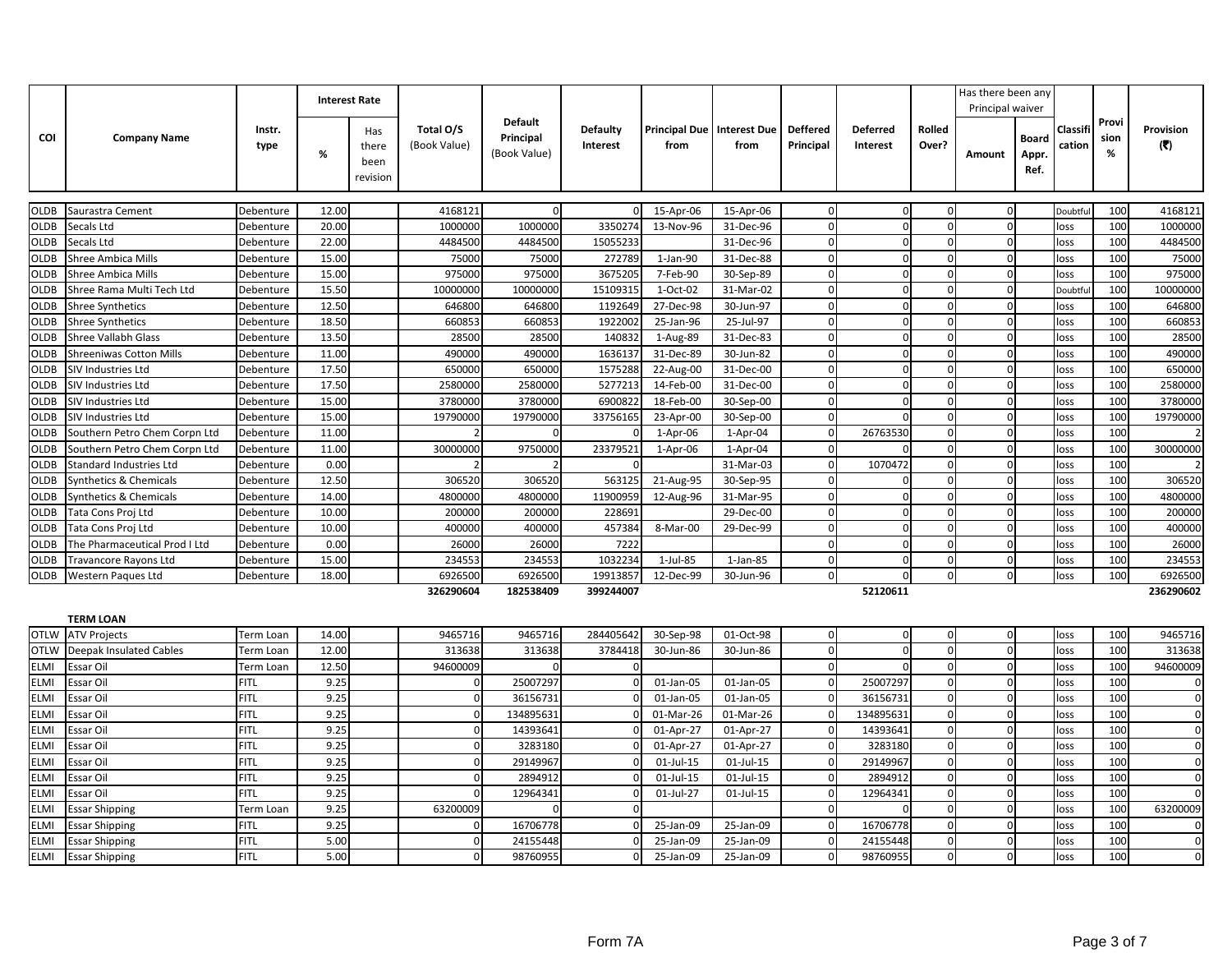|             |                                |                |       | <b>Interest Rate</b>             |                           |                                      |                             |              |                                      |                              |                             |                 | Has there been any<br>Principal waiver |                               |                   |                    |                  |
|-------------|--------------------------------|----------------|-------|----------------------------------|---------------------------|--------------------------------------|-----------------------------|--------------|--------------------------------------|------------------------------|-----------------------------|-----------------|----------------------------------------|-------------------------------|-------------------|--------------------|------------------|
| COI         | <b>Company Name</b>            | Instr.<br>type | %     | Has<br>there<br>been<br>revision | Total O/S<br>(Book Value) | Default<br>Principal<br>(Book Value) | <b>Defaulty</b><br>Interest | from         | Principal Due   Interest Due<br>from | <b>Deffered</b><br>Principal | <b>Deferred</b><br>Interest | Rolled<br>Over? | Amount                                 | <b>Board</b><br>Appr.<br>Ref. | Classif<br>cation | Provi<br>sion<br>% | Provision<br>(3) |
| <b>OLDB</b> | Saurastra Cement               | Debenture      | 12.00 |                                  | 4168121                   | $\Omega$                             | £                           | 15-Apr-06    | 15-Apr-06                            | $\mathbf 0$                  | $\Omega$                    | $\Omega$        | $\Omega$                               |                               | Doubtfu           | 100                | 4168121          |
| <b>OLDB</b> | Secals Ltd                     | Debenture      | 20.00 |                                  | 1000000                   | 1000000                              | 3350274                     | 13-Nov-96    | 31-Dec-96                            | $\mathbf 0$                  |                             | $\Omega$        | $\Omega$                               |                               | loss              | 100                | 1000000          |
| <b>OLDB</b> | Secals Ltd                     | Debenture      | 22.00 |                                  | 4484500                   | 4484500                              | 1505523                     |              | 31-Dec-96                            | $\mathbf 0$                  |                             | $\Omega$        | $\Omega$                               |                               | loss              | 100                | 4484500          |
| <b>OLDB</b> | <b>Shree Ambica Mills</b>      | Debenture      | 15.00 |                                  | 75000                     | 75000                                | 272789                      | $1-Jan-90$   | 31-Dec-88                            | $\mathbf 0$                  | $\Omega$                    | $\Omega$        | $\Omega$                               |                               | loss              | 100                | 75000            |
| <b>OLDB</b> | <b>Shree Ambica Mills</b>      | Debenture      | 15.00 |                                  | 975000                    | 975000                               | 3675205                     | 7-Feb-90     | 30-Sep-89                            | $\mathbf 0$                  |                             | $\Omega$        | $\Omega$                               |                               | loss              | 100                | 975000           |
| <b>OLDB</b> | Shree Rama Multi Tech Ltd      | Debenture      | 15.50 |                                  | 10000000                  | 10000000                             | 15109315                    | 1-Oct-02     | 31-Mar-02                            | $\mathbf 0$                  | $\Omega$                    | $\Omega$        | $\Omega$                               |                               | Doubtf            | 100                | 10000000         |
| <b>OLDB</b> | <b>Shree Synthetics</b>        | Debenture      | 12.50 |                                  | 646800                    | 646800                               | 1192649                     | 27-Dec-98    | 30-Jun-97                            | $\mathbf 0$                  | $\Omega$                    | $\Omega$        | $\Omega$                               |                               | loss              | 100                | 646800           |
| <b>OLDB</b> | <b>Shree Synthetics</b>        | Debenture      | 18.50 |                                  | 660853                    | 660853                               | 1922002                     | 25-Jan-96    | 25-Jul-97                            | $\mathbf 0$                  | $\Omega$                    | $\Omega$        | $\Omega$                               |                               | loss              | 100                | 660853           |
| <b>OLDB</b> | Shree Vallabh Glass            | Debenture      | 13.50 |                                  | 28500                     | 28500                                | 140832                      | 1-Aug-89     | 31-Dec-83                            | $\mathbf 0$                  |                             | $\Omega$        | $\Omega$                               |                               | loss              | 100                | 28500            |
| <b>OLDB</b> | <b>Shreeniwas Cotton Mills</b> | Debenture      | 11.00 |                                  | 490000                    | 490000                               | 1636137                     | 31-Dec-89    | 30-Jun-82                            | $\mathbf 0$                  | $\Omega$                    | $\Omega$        | $\overline{0}$                         |                               | loss              | 100                | 49000C           |
| <b>OLDB</b> | SIV Industries Ltd             | Debenture      | 17.50 |                                  | 650000                    | 650000                               | 1575288                     | 22-Aug-00    | 31-Dec-00                            | $\mathbf 0$                  | $\Omega$                    | $\Omega$        | $\overline{0}$                         |                               | loss              | 100                | 650000           |
| <b>OLDB</b> | SIV Industries Ltd             | Debenture      | 17.50 |                                  | 2580000                   | 2580000                              | 5277213                     | 14-Feb-00    | 31-Dec-00                            | $\mathbf 0$                  | $\mathbf{0}$                | $\Omega$        | $\overline{0}$                         |                               | loss              | 100                | 2580000          |
| <b>OLDB</b> | SIV Industries Ltd             | Debenture      | 15.00 |                                  | 3780000                   | 3780000                              | 6900822                     | 18-Feb-00    | 30-Sep-00                            | $\mathbf 0$                  |                             | $\Omega$        | $\overline{0}$                         |                               | loss              | 100                | 3780000          |
| <b>OLDB</b> | SIV Industries Ltd             | Debenture      | 15.00 |                                  | 19790000                  | 19790000                             | 33756165                    | 23-Apr-00    | 30-Sep-00                            | $\mathbf 0$                  |                             | $\Omega$        | $\overline{0}$                         |                               | loss              | 100                | 19790000         |
| <b>OLDB</b> | Southern Petro Chem Corpn Ltd  | Debenture      | 11.00 |                                  |                           |                                      |                             | $1-Apr-06$   | $1-Apr-04$                           | $\mathbf 0$                  | 26763530                    | $\Omega$        | $\Omega$                               |                               | loss              | 100                |                  |
| <b>OLDB</b> | Southern Petro Chem Corpn Ltd  | Debenture      | 11.00 |                                  | 30000000                  | 9750000                              | 23379521                    | $1-Apr-06$   | $1-Apr-04$                           | $\mathbf 0$                  |                             | $\Omega$        | $\Omega$                               |                               | loss              | 100                | 30000000         |
| <b>OLDB</b> | Standard Industries Ltd        | Debenture      | 0.00  |                                  |                           |                                      |                             |              | 31-Mar-03                            | $\mathbf 0$                  | 1070472                     | $\Omega$        | $\Omega$                               |                               | loss              | 100                |                  |
| <b>OLDB</b> | Synthetics & Chemicals         | Debenture      | 12.50 |                                  | 306520                    | 306520                               | 563125                      | 21-Aug-95    | 30-Sep-95                            | $\mathbf 0$                  |                             | $\Omega$        | $\overline{0}$                         |                               | loss              | 100                | 306520           |
| <b>OLDB</b> | Synthetics & Chemicals         | Debenture      | 14.00 |                                  | 4800000                   | 4800000                              | 11900959                    | 12-Aug-96    | 31-Mar-95                            | $\mathbf 0$                  |                             | $\Omega$        | $\overline{0}$                         |                               | loss              | 100                | 4800000          |
| <b>OLDB</b> | Tata Cons Proj Ltd             | Debenture      | 10.00 |                                  | 200000                    | 200000                               | 228691                      |              | 29-Dec-00                            | $\mathbf 0$                  |                             | $\Omega$        | $\overline{0}$                         |                               | loss              | 100                | 200000           |
| <b>OLDB</b> | Tata Cons Proj Ltd             | Debenture      | 10.00 |                                  | 400000                    | 400000                               | 457384                      | 8-Mar-00     | 29-Dec-99                            | $\mathbf 0$                  |                             | $\Omega$        | $\overline{0}$                         |                               | loss              | 100                | 400000           |
| OLDB        | The Pharmaceutical Prod I Ltd  | Debenture      | 0.00  |                                  | 26000                     | 26000                                | 7222                        |              |                                      | $\mathbf 0$                  | $\Omega$                    | $\Omega$        | $\overline{0}$                         |                               | loss              | 100                | 26000            |
| <b>OLDB</b> | Travancore Rayons Ltd          | Debenture      | 15.00 |                                  | 234553                    | 234553                               | 1032234                     | $1$ -Jul-85  | 1-Jan-85                             | $\mathbf 0$                  |                             | $\Omega$        | $\overline{0}$                         |                               | loss              | 100                | 234553           |
| <b>OLDB</b> | Western Paques Ltd             | Debenture      | 18.00 |                                  | 6926500                   | 6926500                              | 19913857                    | 12-Dec-99    | 30-Jun-96                            | $\mathbf 0$                  |                             | $\Omega$        | $\overline{0}$                         |                               | loss              | 100                | 6926500          |
|             |                                |                |       |                                  | 326290604                 | 182538409                            | 399244007                   |              |                                      |                              | 52120611                    |                 |                                        |                               |                   |                    | 236290602        |
|             | <b>TERM LOAN</b>               |                |       |                                  |                           |                                      |                             |              |                                      |                              |                             |                 |                                        |                               |                   |                    |                  |
| <b>OTLW</b> | <b>ATV Projects</b>            | Term Loan      | 14.00 |                                  | 9465716                   | 9465716                              | 284405642                   | 30-Sep-98    | 01-Oct-98                            | $\mathbf 0$                  | <sup>n</sup>                | $\Omega$        | $\Omega$                               |                               | loss              | 100                | 9465716          |
| <b>OTLW</b> | Deepak Insulated Cables        | Term Loan      | 12.00 |                                  | 313638                    | 313638                               | 3784418                     | 30-Jun-86    | 30-Jun-86                            | $\mathbf 0$                  |                             | $\Omega$        | $\Omega$                               |                               | oss               | 100                | 313638           |
| <b>ELMI</b> | Essar Oil                      | Term Loan      | 12.50 |                                  | 94600009                  |                                      |                             |              |                                      | $\Omega$                     |                             |                 | $\Omega$                               |                               | loss              | 100                | 94600009         |
| <b>ELMI</b> | Essar Oil                      | <b>FITL</b>    | 9.25  |                                  | $\Omega$                  | 25007297                             |                             | 01-Jan-05    | 01-Jan-05                            | $\mathbf 0$                  | 25007297                    | $\Omega$        | 0                                      |                               | oss               | 100                | $\mathbf 0$      |
| <b>ELMI</b> | Essar Oil                      | FITL           | 9.25  |                                  | $\Omega$                  | 36156731                             |                             | 01-Jan-05    | 01-Jan-05                            | $\mathbf 0$                  | 36156731                    | $\Omega$        | $\Omega$                               |                               | loss              | 100                | $\Omega$         |
| <b>ELMI</b> | Essar Oil                      | <b>FITL</b>    | 9.25  |                                  | $\Omega$                  | 134895631                            |                             | 01-Mar-26    | 01-Mar-26                            | $\Omega$                     | 134895631                   | $\Omega$        | $\Omega$                               |                               | loss              | 100                | $\Omega$         |
| <b>ELMI</b> | Essar Oil                      | <b>FITL</b>    | 9.25  |                                  | $\Omega$                  | 14393641                             |                             | 01-Apr-27    | 01-Apr-27                            | $\mathbf 0$                  | 14393641                    | $\Omega$        | $\Omega$                               |                               | loss              | 100                | $\Omega$         |
| <b>ELMI</b> | Essar Oil                      | <b>FITL</b>    | 9.25  |                                  | $\Omega$                  | 3283180                              |                             | 01-Apr-27    | 01-Apr-27                            | $\mathbf 0$                  | 3283180                     | $\Omega$        | $\Omega$                               |                               | loss              | 100                | $\Omega$         |
| <b>ELMI</b> | Essar Oil                      | <b>FITL</b>    | 9.25  |                                  | $\Omega$                  | 29149967                             |                             | $01$ -Jul-15 | $01$ -Jul-15                         | $\Omega$                     | 29149967                    | $\Omega$        | $\Omega$                               |                               | loss              | 100                | $\Omega$         |
| ELMI        | Essar Oil                      | FITL           | 9.25  |                                  | $\mathbf 0$               | 2894912                              |                             | $01$ -Jul-15 | 01-Jul-15                            | $\mathbf 0$                  | 2894912                     | $\Omega$        | U                                      |                               | oss               | 100                | $\Omega$         |
| <b>ELMI</b> | Essar Oil                      | FITL           | 9.25  |                                  | $\Omega$                  | 12964341                             |                             | 01-Jul-27    | 01-Jul-15                            | $\mathbf 0$                  | 12964341                    | $\Omega$        | $\Omega$                               |                               | loss              | 100                | $\Omega$         |
| ELMI        | <b>Essar Shipping</b>          | Term Loan      | 9.25  |                                  | 63200009                  |                                      | C                           |              |                                      | $\mathbf 0$                  |                             | $\Omega$        | $\Omega$                               |                               | oss               | 100                | 63200009         |
| <b>ELMI</b> | <b>Essar Shipping</b>          | FITL           | 9.25  |                                  | $\Omega$                  | 16706778                             |                             | 25-Jan-09    | 25-Jan-09                            | $\mathbf 0$                  | 16706778                    | $\Omega$        | $\Omega$                               |                               | loss              | 100                | $\Omega$         |
| <b>ELMI</b> | Essar Shipping                 | <b>FITL</b>    | 5.00  |                                  | $\Omega$                  | 24155448                             |                             | 25-Jan-09    | 25-Jan-09                            | $\Omega$                     | 24155448                    | $\Omega$        | $\Omega$                               |                               | oss               | 100                | $\Omega$         |
| ELMI        | <b>Essar Shipping</b>          | <b>FITL</b>    | 5.00  |                                  | $\Omega$                  | 98760955                             |                             | 25-Jan-09    | 25-Jan-09                            | $\mathbf 0$                  | 98760955                    | $\Omega$        | $\Omega$                               |                               | loss              | 100                | $\Omega$         |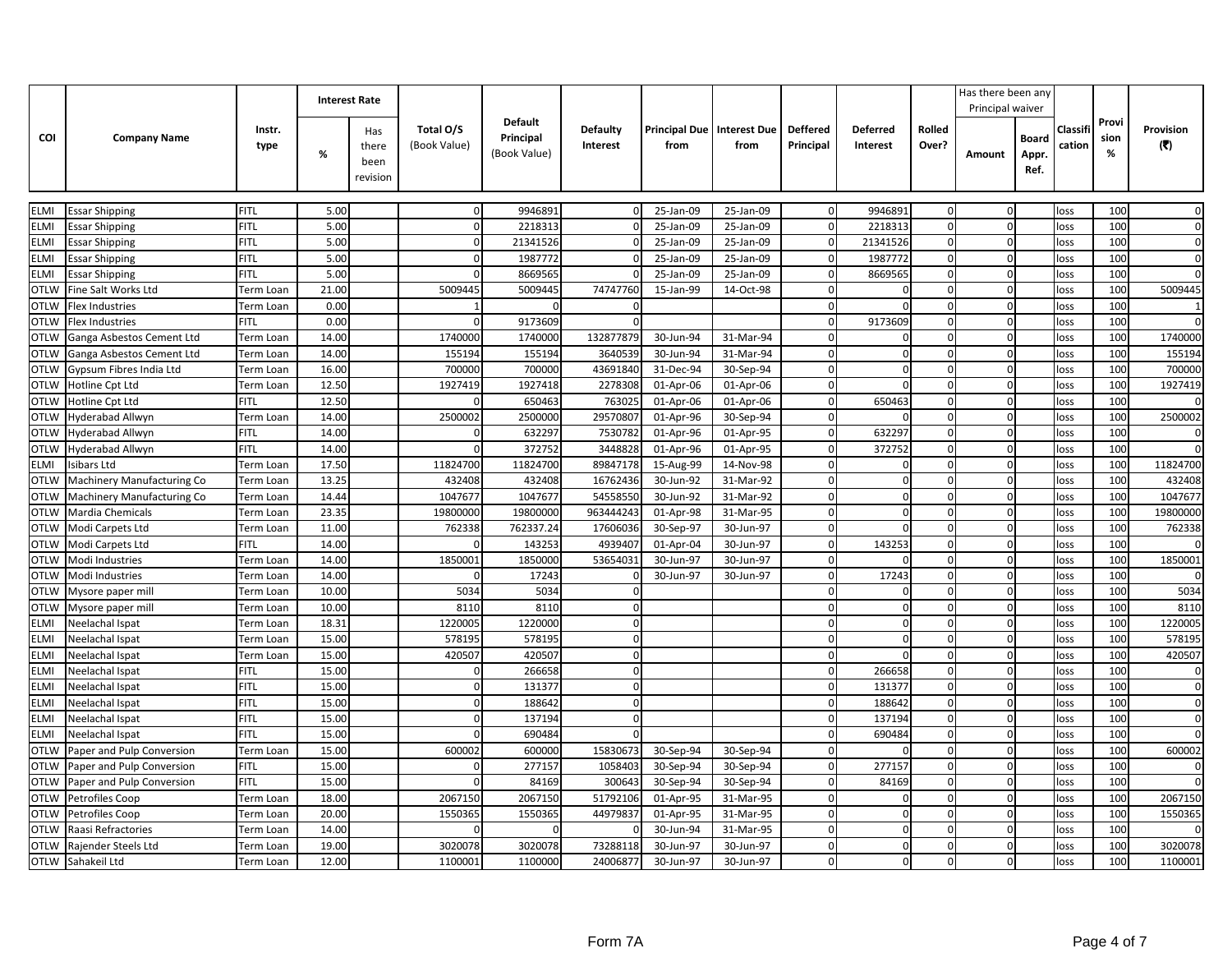|                            |                                                        |                          | <b>Interest Rate</b> |                                  |                           |                                             |                      |                                      |                        |                              |                             |                            | Has there been any<br>Principal waiver |                               |                   |                    |                    |
|----------------------------|--------------------------------------------------------|--------------------------|----------------------|----------------------------------|---------------------------|---------------------------------------------|----------------------|--------------------------------------|------------------------|------------------------------|-----------------------------|----------------------------|----------------------------------------|-------------------------------|-------------------|--------------------|--------------------|
| COI                        | <b>Company Name</b>                                    | Instr.<br>type           | %                    | Has<br>there<br>been<br>revision | Total O/S<br>(Book Value) | <b>Default</b><br>Principal<br>(Book Value) | Defaulty<br>Interest | Principal Due   Interest Due<br>from | from                   | <b>Deffered</b><br>Principal | <b>Deferred</b><br>Interest | Rolled<br>Over?            | Amount                                 | <b>Board</b><br>Appr.<br>Ref. | Classif<br>cation | Provi<br>sion<br>% | Provision<br>(3)   |
| <b>ELMI</b>                | <b>Essar Shipping</b>                                  | <b>FITL</b>              | 5.00                 |                                  | $\overline{0}$            | 9946891                                     | $\Omega$             | 25-Jan-09                            | 25-Jan-09              | $\Omega$                     | 9946891                     | $\Omega$                   | O                                      |                               | loss              | 100                |                    |
| <b>ELMI</b>                | <b>Essar Shipping</b>                                  | <b>FITL</b>              | 5.00                 |                                  | $\Omega$                  | 2218313                                     | $\Omega$             | 25-Jan-09                            | 25-Jan-09              | $\Omega$                     | 2218313                     | $\Omega$                   | $\Omega$                               |                               | loss              | 100                | $\Omega$           |
| <b>ELMI</b>                | <b>Essar Shipping</b>                                  | <b>FITL</b>              | 5.00                 |                                  | $\overline{0}$            | 21341526                                    | $\Omega$             | 25-Jan-09                            | 25-Jan-09              | $\Omega$                     | 21341526                    | $\mathbf 0$                | $\Omega$                               |                               | loss              | 100                | $\mathbf{0}$       |
| <b>ELMI</b>                | <b>Essar Shipping</b>                                  | <b>FITL</b>              | 5.00                 |                                  | $\Omega$                  | 1987772                                     |                      | 25-Jan-09                            | 25-Jan-09              | $\Omega$                     | 1987772                     | $\Omega$                   | $\Omega$                               |                               | <b>OSS</b>        | 100                | $\mathbf{0}$       |
| <b>ELMI</b>                | <b>Essar Shipping</b>                                  | <b>FITL</b>              | 5.00                 |                                  | $\Omega$                  | 8669565                                     |                      | 25-Jan-09                            | 25-Jan-09              | $\Omega$                     | 8669565                     | $\overline{0}$             | $\Omega$                               |                               | loss              | 100                | $\Omega$           |
| <b>OTLW</b>                | Fine Salt Works Ltd                                    | Term Loan                | 21.00                |                                  | 5009445                   | 5009445                                     | 74747760             | 15-Jan-99                            | 14-Oct-98              | $\Omega$                     |                             | $\mathbf 0$                | $\Omega$                               |                               | loss              | 100                | 5009445            |
| <b>OTLW</b>                | <b>Flex Industries</b>                                 | Term Loan                | 0.00                 |                                  | $\mathbf{1}$              |                                             |                      |                                      |                        | $\Omega$                     |                             | $\mathbf 0$                | $\Omega$                               |                               | loss              | 100                | $1\overline{ }$    |
| <b>OTLW</b>                | <b>Flex Industries</b>                                 | <b>FITL</b>              | 0.00                 |                                  | $\Omega$                  | 9173609                                     | $\Omega$             |                                      |                        | $\Omega$                     | 9173609                     | $\mathbf 0$                | $\Omega$                               |                               | loss              | 100                | $\overline{0}$     |
| <b>OTLW</b>                | Ganga Asbestos Cement Ltd                              | Term Loan                | 14.00                |                                  | 1740000                   | 1740000                                     | 132877879            | 30-Jun-94                            | 31-Mar-94              | $\Omega$                     |                             | $\Omega$                   | $\Omega$                               |                               | oss               | 100                | 1740000            |
| <b>OTLW</b>                | Ganga Asbestos Cement Ltd                              | Term Loan                | 14.00                |                                  | 155194                    | 155194                                      | 3640539              | 30-Jun-94                            | 31-Mar-94              | $\Omega$                     |                             | $\mathbf 0$                | $\Omega$                               |                               | loss              | 100                | 155194             |
| <b>OTLW</b>                | Gypsum Fibres India Ltd                                | Term Loan                | 16.00                |                                  | 700000                    | 700000                                      | 43691840             | 31-Dec-94                            | 30-Sep-94              | $\mathbf 0$                  |                             | $\mathbf 0$                | $\Omega$                               |                               | loss              | 100                | 700000             |
| <b>OTLW</b>                | Hotline Cpt Ltd                                        | Term Loan                | 12.50                |                                  | 1927419                   | 1927418                                     | 2278308              | 01-Apr-06                            | 01-Apr-06              | $\Omega$                     |                             | $\mathbf 0$                | $\Omega$                               |                               | loss              | 100                | 1927419            |
| <b>OTLW</b>                | <b>Hotline Cpt Ltd</b>                                 | <b>FITL</b>              | 12.50                |                                  | 0                         | 650463                                      | 763025               | 01-Apr-06                            | 01-Apr-06              | $\Omega$                     | 650463                      | $\mathbf 0$                | $\Omega$                               |                               | loss              | 100                | $\mathbf 0$        |
| <b>OTLW</b>                | <b>Hyderabad Allwyn</b>                                | Term Loan                | 14.00                |                                  | 2500002                   | 2500000                                     | 29570807             | 01-Apr-96                            | 30-Sep-94              | $\Omega$                     |                             | $\mathbf 0$                | $\Omega$                               |                               | loss              | 100                | 2500002            |
| <b>OTLW</b>                | <b>Hyderabad Allwyn</b>                                | <b>FITL</b>              | 14.00                |                                  | $\Omega$                  | 632297                                      | 7530782              | 01-Apr-96                            | 01-Apr-95              | $\mathbf 0$                  | 632297                      | $\mathbf 0$                | $\Omega$                               |                               | loss              | 100                | $\mathbf 0$        |
| <b>OTLW</b>                | <b>Hyderabad Allwyn</b>                                | <b>FITL</b>              | 14.00                |                                  | $\Omega$                  | 372752                                      | 3448828              | 01-Apr-96                            | 01-Apr-95              | $\Omega$                     | 372752                      | $\mathbf 0$                | $\Omega$                               |                               | loss              | 100                | $\mathbf 0$        |
| <b>ELMI</b>                | Isibars Ltd                                            | Term Loan                | 17.50                |                                  | 11824700                  | 11824700                                    | 89847178             | 15-Aug-99                            | 14-Nov-98              | $\Omega$                     |                             | $\mathbf 0$                | $\Omega$                               |                               | loss              | 100                | 11824700           |
| <b>OTLW</b>                | Machinery Manufacturing Co                             | Term Loan                | 13.25                |                                  | 432408                    | 432408                                      | 16762436             | 30-Jun-92                            | 31-Mar-92              | $\Omega$                     |                             | $\Omega$                   | $\Omega$                               |                               | loss              | 100                | 432408             |
| <b>OTLW</b>                | Machinery Manufacturing Co                             | Term Loan                | 14.44                |                                  | 1047677                   | 1047677                                     | 54558550             | 30-Jun-92                            | 31-Mar-92              | $\Omega$                     |                             | $\mathbf 0$                | $\Omega$                               |                               | loss              | 100                | 1047677            |
| <b>OTLW</b>                | <b>Mardia Chemicals</b>                                | Term Loan                | 23.35                |                                  | 19800000                  | 19800000                                    | 963444243            | 01-Apr-98                            | 31-Mar-95              | $\Omega$                     |                             | $\overline{0}$             | $\Omega$                               |                               | loss              | 100                | 19800000           |
| <b>OTLW</b>                | Modi Carpets Ltd                                       | Term Loan                | 11.00                |                                  | 762338                    | 762337.24                                   | 17606036             | 30-Sep-97                            | 30-Jun-97              | $\Omega$                     |                             | $\overline{0}$             | $\Omega$                               |                               | loss              | 100                | 762338             |
| <b>OTLW</b>                | Modi Carpets Ltd                                       | <b>FITL</b>              | 14.00                |                                  | $\Omega$                  | 143253                                      | 4939407              | 01-Apr-04                            | 30-Jun-97              | $\Omega$                     | 143253                      | $\Omega$                   | $\Omega$                               |                               | loss              | 100                | $\Omega$           |
| <b>OTLW</b>                | Modi Industries                                        | Term Loan                | 14.00                |                                  | 1850001                   | 1850000                                     | 53654032             | 30-Jun-97                            | 30-Jun-97              | $\Omega$                     |                             | $\overline{0}$             | $\Omega$                               |                               | loss              | 100                | 1850001            |
| <b>OTLW</b>                | Modi Industries                                        | Term Loan                | 14.00                |                                  | $\Omega$                  | 17243                                       | $\Omega$             | 30-Jun-97                            | 30-Jun-97              | $\Omega$                     | 17243                       | $\overline{0}$             | $\Omega$                               |                               | loss              | 100                | $\Omega$           |
| <b>OTLW</b>                | Mysore paper mill                                      | Term Loan                | 10.00                |                                  | 5034                      | 5034                                        | $\Omega$             |                                      |                        | $\Omega$                     |                             | $\overline{0}$             | $\Omega$                               |                               | loss              | 100                | 5034               |
| <b>OTLW</b>                | Mysore paper mill                                      | Term Loan                | 10.00                |                                  | 8110                      | 8110                                        | $\Omega$             |                                      |                        | $\Omega$                     |                             | $\Omega$                   | $\Omega$                               |                               | loss              | 100                | 8110               |
| <b>ELMI</b>                | Neelachal Ispat                                        | Term Loan                | 18.31                |                                  | 1220005                   | 1220000                                     | $\Omega$             |                                      |                        | $\Omega$                     |                             | $\overline{0}$             | $\Omega$                               |                               | loss              | 100                | 1220005            |
| <b>ELMI</b>                | Neelachal Ispat                                        | Term Loan                | 15.00                |                                  | 578195                    | 578195                                      | $\overline{0}$       |                                      |                        | $\Omega$                     |                             | $\overline{0}$             | $\Omega$                               |                               | loss              | 100                | 578195             |
| ELMI                       | Neelachal Ispat                                        | Term Loan                | 15.00                |                                  | 420507                    | 420507                                      | $\Omega$             |                                      |                        | $\Omega$                     |                             | $\overline{0}$             | $\Omega$                               |                               | loss              | 100                | 420507             |
| <b>ELMI</b>                | Neelachal Ispat                                        | <b>FITL</b>              | 15.00                |                                  | $\Omega$                  | 266658                                      | $\Omega$             |                                      |                        | $\Omega$                     | 266658                      | $\overline{0}$             | $\Omega$                               |                               | loss              | 100                | $\overline{0}$     |
| <b>ELMI</b>                | Neelachal Ispat                                        | <b>FITL</b>              | 15.00                |                                  | $\overline{0}$            | 131377                                      | $\Omega$             |                                      |                        | $\Omega$                     | 131377                      | $\overline{0}$             | $\Omega$<br>$\Omega$                   |                               | loss              | 100                | $\Omega$           |
| <b>ELMI</b>                | Neelachal Ispat                                        | <b>FITL</b>              | 15.00                |                                  | $\overline{0}$            | 188642                                      | $\Omega$             |                                      |                        | $\Omega$                     | 188642                      | $\Omega$                   |                                        |                               | loss              | 100                | $\Omega$           |
| <b>ELMI</b>                | Neelachal Ispat                                        | <b>FITL</b>              | 15.00                |                                  | $\overline{0}$            | 137194                                      | $\mathbf 0$          |                                      |                        | $\Omega$                     | 137194                      | $\mathbf 0$                | $\Omega$                               |                               | loss              | 100                | $\mathbf 0$        |
| <b>ELMI</b><br><b>OTLW</b> | Neelachal Ispat                                        | <b>FITL</b>              | 15.00<br>15.00       |                                  | $\Omega$<br>600002        | 690484                                      | $\Omega$<br>15830673 |                                      |                        | $\Omega$<br>$\Omega$         | 690484                      | $\mathbf 0$<br>$\mathbf 0$ | $\Omega$<br>$\Omega$                   |                               | loss              | 100<br>100         | $\Omega$<br>600002 |
| <b>OTLW</b>                | Paper and Pulp Conversion                              | Term Loan<br><b>FITL</b> | 15.00                |                                  | $\Omega$                  | 600000<br>277157                            | 1058403              | 30-Sep-94<br>30-Sep-94               | 30-Sep-94<br>30-Sep-94 | $\Omega$                     | 277157                      | $\Omega$                   | $\Omega$                               |                               | loss              | 100                | $\mathbf 0$        |
| <b>OTLW</b>                | Paper and Pulp Conversion<br>Paper and Pulp Conversion | <b>FITL</b>              | 15.00                |                                  | $\Omega$                  | 84169                                       | 300643               | 30-Sep-94                            | 30-Sep-94              | $\mathbf 0$                  | 84169                       | $\pmb{0}$                  | $\Omega$                               |                               | loss<br>loss      | 100                | $\mathbf{0}$       |
| <b>OTLW</b>                | Petrofiles Coop                                        | Term Loan                | 18.00                |                                  | 2067150                   | 2067150                                     | 51792106             | 01-Apr-95                            | 31-Mar-95              | $\Omega$                     |                             | $\mathbf 0$                | $\Omega$                               |                               | loss              | 100                | 2067150            |
| <b>OTLW</b>                | <b>Petrofiles Coop</b>                                 | Term Loan                | 20.00                |                                  | 1550365                   |                                             | 44979837             | 01-Apr-95                            | 31-Mar-95              | $\Omega$                     |                             | 0                          | $\Omega$                               |                               | loss              | 100                | 1550365            |
| <b>OTLW</b>                | Raasi Refractories                                     | Term Loan                | 14.00                |                                  | $\Omega$                  | 1550365<br>$\Omega$                         |                      | 30-Jun-94                            | 31-Mar-95              | $\Omega$                     |                             | $\Omega$                   | $\Omega$                               |                               | loss              | 100                |                    |
| <b>OTLW</b>                | Rajender Steels Ltd                                    | Term Loan                | 19.00                |                                  | 3020078                   | 3020078                                     | 73288118             | 30-Jun-97                            | 30-Jun-97              | $\mathbf 0$                  | $\Omega$                    | $\overline{0}$             | $\Omega$                               |                               | loss              | 100                | 3020078            |
|                            | OTLW Sahakeil Ltd                                      | Term Loan                | 12.00                |                                  | 1100001                   | 1100000                                     | 24006877             | 30-Jun-97                            | 30-Jun-97              |                              |                             | $\Omega$                   | $\Omega$                               |                               | loss              | 100                | 1100001            |
|                            |                                                        |                          |                      |                                  |                           |                                             |                      |                                      |                        |                              |                             |                            |                                        |                               |                   |                    |                    |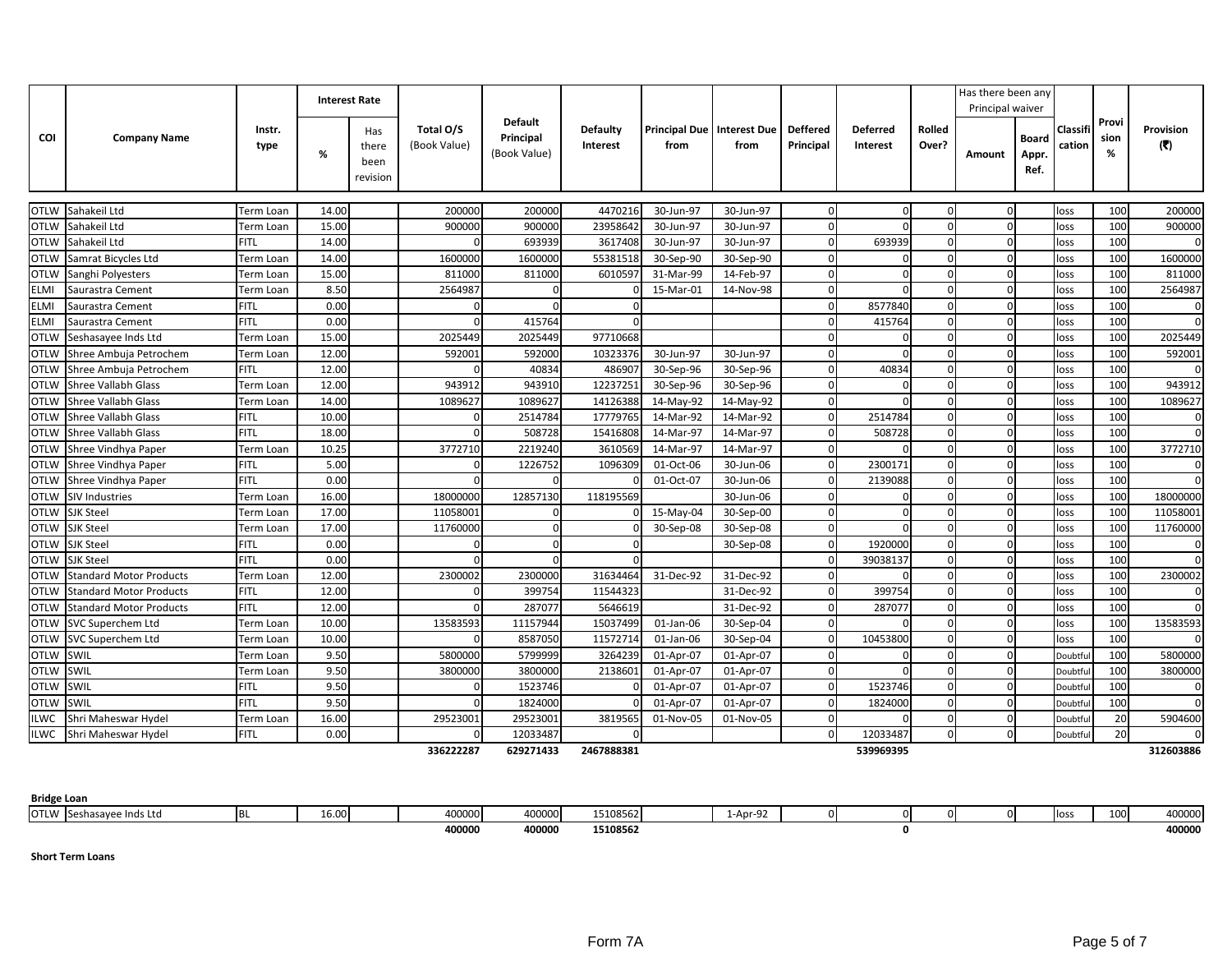|             |                                |                | <b>Interest Rate</b> |                                  |                           |                                             |                      |                                           |           |                              |                             |                 | Has there been any<br>Principal waiver |                               |                    |                    |                  |
|-------------|--------------------------------|----------------|----------------------|----------------------------------|---------------------------|---------------------------------------------|----------------------|-------------------------------------------|-----------|------------------------------|-----------------------------|-----------------|----------------------------------------|-------------------------------|--------------------|--------------------|------------------|
| COI         | <b>Company Name</b>            | Instr.<br>type | %                    | Has<br>there<br>been<br>revision | Total O/S<br>(Book Value) | <b>Default</b><br>Principal<br>(Book Value) | Defaulty<br>Interest | <b>Principal Due Interest Due</b><br>from | from      | <b>Deffered</b><br>Principal | <b>Deferred</b><br>Interest | Rolled<br>Over? | Amount                                 | <b>Board</b><br>Appr.<br>Ref. | Classifi<br>cation | Provi<br>sion<br>% | Provision<br>(3) |
|             | OTLW Sahakeil Ltd              | Term Loan      | 14.00                |                                  | 200000                    | 200000                                      | 4470216              | 30-Jun-97                                 | 30-Jun-97 | $\Omega$                     |                             |                 | O                                      |                               | loss               | 100                | 200000           |
|             | OTLW Sahakeil Ltd              | Term Loan      | 15.00                |                                  | 900000                    | 900000                                      | 23958642             | 30-Jun-97                                 | 30-Jun-97 | $\Omega$                     | $\Omega$                    | $\Omega$        | O                                      |                               | loss               | 100                | 900000           |
|             | OTLW Sahakeil Ltd              | <b>FITL</b>    | 14.00                |                                  | $\Omega$                  | 693939                                      | 3617408              | 30-Jun-97                                 | 30-Jun-97 | $\Omega$                     | 693939                      | $\Omega$        |                                        |                               | loss               | 100                | $\Omega$         |
| <b>OTLW</b> | Samrat Bicycles Ltd            | Term Loan      | 14.00                |                                  | 1600000                   | 1600000                                     | 55381518             | 30-Sep-90                                 | 30-Sep-90 | $\Omega$                     | $\Omega$                    | $\mathbf 0$     | O                                      |                               | loss               | 100                | 1600000          |
| <b>OTLW</b> | Sanghi Polyesters              | Term Loan      | 15.00                |                                  | 811000                    | 811000                                      | 6010597              | 31-Mar-99                                 | 14-Feb-97 | $\Omega$                     |                             | $\Omega$        | $\Omega$                               |                               | loss               | 100                | 811000           |
| ELMI        | Saurastra Cement               | Term Loan      | 8.50                 |                                  | 2564987                   | U                                           |                      | 15-Mar-01                                 | 14-Nov-98 | $\Omega$                     | $\Omega$                    | $\Omega$        | O                                      |                               | loss               | 100                | 2564987          |
| <b>ELMI</b> | Saurastra Cement               | <b>FITL</b>    | 0.00                 |                                  | $\Omega$                  |                                             | $\Omega$             |                                           |           | $\Omega$                     | 8577840                     | $\Omega$        |                                        |                               | loss               | 100                | $\Omega$         |
| <b>ELMI</b> | Saurastra Cement               | <b>FITL</b>    | 0.00                 |                                  | $\Omega$                  | 415764                                      | $\Omega$             |                                           |           | $\Omega$                     | 415764                      | $\mathbf 0$     | $\Omega$                               |                               | loss               | 100                | $\Omega$         |
| <b>OTLW</b> | Seshasayee Inds Ltd            | Term Loan      | 15.00                |                                  | 2025449                   | 2025449                                     | 97710668             |                                           |           | $\Omega$                     | $\Omega$                    | $\mathbf 0$     |                                        |                               | loss               | 100                | 2025449          |
| <b>OTLW</b> | Shree Ambuja Petrochem         | Term Loan      | 12.00                |                                  | 592001                    | 592000                                      | 10323376             | 30-Jun-97                                 | 30-Jun-97 | $\Omega$                     | $\Omega$                    | $\Omega$        | U                                      |                               | loss               | 100                | 592001           |
| <b>OTLW</b> | Shree Ambuja Petrochem         | <b>FITL</b>    | 12.00                |                                  |                           | 40834                                       | 486907               | 30-Sep-96                                 | 30-Sep-96 |                              | 40834                       | $\Omega$        |                                        |                               | loss               | 100                | $\Omega$         |
| <b>OTLW</b> | <b>Shree Vallabh Glass</b>     | Term Loan      | 12.00                |                                  | 943912                    | 943910                                      | 12237251             | 30-Sep-96                                 | 30-Sep-96 | $\Omega$                     | <sup>n</sup>                | $\Omega$        | $\Omega$                               |                               | loss               | 100                | 943912           |
| <b>OTLW</b> | Shree Vallabh Glass            | Term Loan      | 14.00                |                                  | 1089627                   | 1089627                                     | 14126388             | 14-May-92                                 | 14-May-92 | $\Omega$                     |                             | $\mathbf 0$     | $\Omega$                               |                               | loss               | 100                | 1089627          |
| <b>OTLW</b> | Shree Vallabh Glass            | <b>FITL</b>    | 10.00                |                                  | $\Omega$                  | 2514784                                     | 17779765             | 14-Mar-92                                 | 14-Mar-92 | $\overline{0}$               | 2514784                     | $\mathbf 0$     | O                                      |                               | loss               | 100                | $\mathbf 0$      |
| <b>OTLW</b> | <b>Shree Vallabh Glass</b>     | <b>FITL</b>    | 18.00                |                                  | $\Omega$                  | 508728                                      | 15416808             | 14-Mar-97                                 | 14-Mar-97 |                              | 508728                      | $\Omega$        |                                        |                               | <b>OSS</b>         | 100                | $\Omega$         |
| <b>OTLW</b> | Shree Vindhya Paper            | Term Loan      | 10.25                |                                  | 3772710                   | 2219240                                     | 3610569              | 14-Mar-97                                 | 14-Mar-97 | $\Omega$                     | $\Omega$                    | $\Omega$        | U                                      |                               | loss               | 100                | 3772710          |
| <b>OTLW</b> | Shree Vindhya Paper            | <b>FITL</b>    | 5.00                 |                                  | $\Omega$                  | 1226752                                     | 1096309              | 01-Oct-06                                 | 30-Jun-06 | $\Omega$                     | 2300171                     | $\mathbf 0$     | $\Omega$                               |                               | loss               | 100                | $\mathbf 0$      |
|             | OTLW Shree Vindhya Paper       | <b>FITL</b>    | 0.00                 |                                  | $\Omega$                  | $\Omega$                                    | n                    | 01-Oct-07                                 | 30-Jun-06 | $\overline{0}$               | 2139088                     | $\mathbf 0$     | $\Omega$                               |                               | loss               | 100                | $\Omega$         |
| <b>OTLW</b> | <b>SIV Industries</b>          | Term Loan      | 16.00                |                                  | 18000000                  | 12857130                                    | 118195569            |                                           | 30-Jun-06 |                              |                             | $\Omega$        |                                        |                               | <b>OSS</b>         | 100                | 18000000         |
| <b>OTLW</b> | <b>SJK Steel</b>               | Term Loan      | 17.00                |                                  | 11058001                  | U                                           | $\Omega$             | 15-May-04                                 | 30-Sep-00 | $\Omega$                     |                             | $\Omega$        | U                                      |                               | loss               | 100                | 11058001         |
| <b>OTLW</b> | <b>SJK Steel</b>               | Term Loan      | 17.00                |                                  | 11760000                  | $\Omega$                                    | $\Omega$             | 30-Sep-08                                 | 30-Sep-08 | $\Omega$                     |                             | $\mathbf 0$     | $\Omega$                               |                               | loss               | 100                | 11760000         |
| <b>OTLW</b> | <b>SJK Steel</b>               | <b>FITL</b>    | 0.00                 |                                  | <sup>0</sup>              | $\Omega$                                    | $\Omega$             |                                           | 30-Sep-08 | $\overline{0}$               | 1920000                     | $\mathbf 0$     | $\Omega$                               |                               | loss               | 100                | $\Omega$         |
| <b>OTLW</b> | <b>SJK Steel</b>               | <b>FITL</b>    | 0.00                 |                                  | $\Omega$                  |                                             |                      |                                           |           | $\Omega$                     | 39038137                    | $\Omega$        | $\Omega$                               |                               | loss               | 100                | $\mathbf 0$      |
| <b>OTLW</b> | <b>Standard Motor Products</b> | Term Loan      | 12.00                |                                  | 2300002                   | 2300000                                     | 31634464             | 31-Dec-92                                 | 31-Dec-92 | $\Omega$                     | $\Omega$                    | $\Omega$        | O                                      |                               | loss               | 100                | 2300002          |
| <b>OTLW</b> | <b>Standard Motor Products</b> | <b>FITL</b>    | 12.00                |                                  | $\Omega$                  | 399754                                      | 11544323             |                                           | 31-Dec-92 |                              | 399754                      | $\Omega$        | O                                      |                               | loss               | 100                | $\mathbf 0$      |
| <b>OTLW</b> | <b>Standard Motor Products</b> | <b>FITL</b>    | 12.00                |                                  | $\Omega$                  | 287077                                      | 5646619              |                                           | 31-Dec-92 | $\Omega$                     | 287077                      | $\mathbf 0$     | O                                      |                               | loss               | 100                | $\Omega$         |
| <b>OTLW</b> | SVC Superchem Ltd              | Term Loan      | 10.00                |                                  | 13583593                  | 11157944                                    | 15037499             | 01-Jan-06                                 | 30-Sep-04 |                              |                             | $\Omega$        |                                        |                               | loss               | 100                | 13583593         |
| <b>OTLW</b> | SVC Superchem Ltd              | Term Loan      | 10.00                |                                  | n                         | 8587050                                     | 11572714             | 01-Jan-06                                 | 30-Sep-04 | $\Omega$                     | 10453800                    | $\Omega$        | U                                      |                               | loss               | 100                | $\Omega$         |
| <b>OTLW</b> | SWIL                           | Term Loan      | 9.50                 |                                  | 5800000                   | 5799999                                     | 3264239              | 01-Apr-07                                 | 01-Apr-07 |                              |                             | $\Omega$        | U                                      |                               | Doubtfu            | 100                | 5800000          |
| <b>OTLW</b> | SWIL                           | Term Loan      | 9.50                 |                                  | 3800000                   | 3800000                                     | 2138601              | 01-Apr-07                                 | 01-Apr-07 | $\Omega$                     |                             | $\Omega$        | O                                      |                               | Doubtfu            | 100                | 3800000          |
| <b>OTLW</b> | SWIL                           | <b>FITL</b>    | 9.50                 |                                  | $\Omega$                  | 1523746                                     | $\Omega$             | 01-Apr-07                                 | 01-Apr-07 | $\Omega$                     | 1523746                     | $\Omega$        | n                                      |                               | Doubtful           | 100                | $\mathbf 0$      |
| <b>OTLW</b> | SWIL                           | <b>FITL</b>    | 9.50                 |                                  | $\Omega$                  | 1824000                                     |                      | 01-Apr-07                                 | 01-Apr-07 | $\Omega$                     | 1824000                     | $\Omega$        | $\Omega$                               |                               | Doubtful           | 100                | $\Omega$         |
| <b>ILWC</b> | Shri Maheswar Hydel            | Term Loan      | 16.00                |                                  | 29523001                  | 29523001                                    | 3819565              | 01-Nov-05                                 | 01-Nov-05 | $\Omega$                     |                             | $\Omega$        | $\Omega$                               |                               | Doubtfu            | 20                 | 5904600          |
| <b>ILWC</b> | Shri Maheswar Hydel            | <b>FITL</b>    | 0.00                 |                                  | $\Omega$                  | 12033487                                    |                      |                                           |           |                              | 12033487                    | $\Omega$        | O                                      |                               | Doubtfu            | 20                 | $\Omega$         |
|             |                                |                |                      |                                  | 336222287                 | 629271433                                   | 2467888381           |                                           |           |                              | 539969395                   |                 |                                        |                               |                    |                    | 312603886        |

| <b>Bridge Loan</b>                                      |       |        |                       |          |          |  |  |      |     |        |
|---------------------------------------------------------|-------|--------|-----------------------|----------|----------|--|--|------|-----|--------|
| <b>OTLW</b><br>$^{\prime}$ Sech.<br>ee Inds Ltd<br>esse | 16.00 | 400000 | 00000<br><b>FUUUU</b> | 15108562 | 1-Apr-92 |  |  | loss | 100 | 400000 |
|                                                         |       | 400000 | 40000C                | 15108562 |          |  |  |      |     | 400000 |

Short Term Loans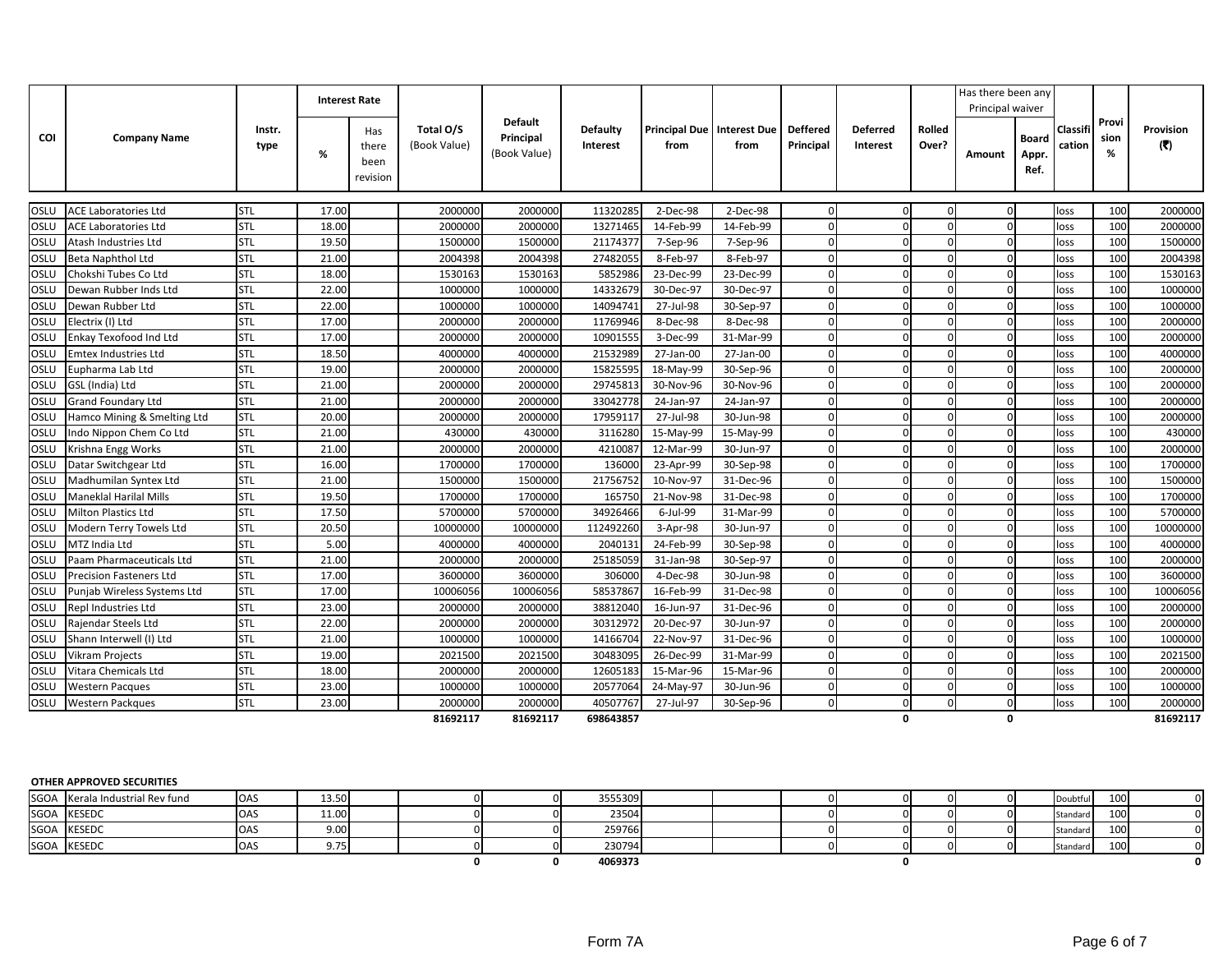|             |                                |                | <b>Interest Rate</b> |                                  |                           |                                             |                             |           |                                                 |             |                             |                        | Has there been any<br>Principal waiver |                               |                    |                    |                         |
|-------------|--------------------------------|----------------|----------------------|----------------------------------|---------------------------|---------------------------------------------|-----------------------------|-----------|-------------------------------------------------|-------------|-----------------------------|------------------------|----------------------------------------|-------------------------------|--------------------|--------------------|-------------------------|
| COI         | <b>Company Name</b>            | Instr.<br>type | %                    | Has<br>there<br>been<br>revision | Total O/S<br>(Book Value) | <b>Default</b><br>Principal<br>(Book Value) | <b>Defaulty</b><br>Interest | from      | Principal Due   Interest Due   Deffered<br>from | Principal   | <b>Deferred</b><br>Interest | <b>Rolled</b><br>Over? | Amount                                 | <b>Board</b><br>Appr.<br>Ref. | Classifi<br>cation | Provi<br>sion<br>% | <b>Provision</b><br>(3) |
| OSLU        | <b>ACE Laboratories Ltd</b>    | STL            | 17.00                |                                  | 2000000                   | 2000000                                     | 11320285                    | 2-Dec-98  | 2-Dec-98                                        | $\Omega$    |                             | $\cap$                 | $\Omega$                               |                               | loss               | 100                | 2000000                 |
| OSLU        | <b>ACE Laboratories Ltd</b>    | <b>STL</b>     | 18.00                |                                  | 2000000                   | 2000000                                     | 13271465                    | 14-Feb-99 | 14-Feb-99                                       | $\Omega$    |                             | $\Omega$               | $\Omega$                               |                               | loss               | 100                | 2000000                 |
| OSLU        | Atash Industries Ltd           | <b>STL</b>     | 19.50                |                                  | 1500000                   | 1500000                                     | 21174377                    | 7-Sep-96  | 7-Sep-96                                        | $\Omega$    |                             | $\cap$                 | $\Omega$                               |                               | loss               | 100                | 1500000                 |
| OSLU        | <b>Beta Naphthol Ltd</b>       | <b>STL</b>     | 21.00                |                                  | 2004398                   | 2004398                                     | 27482055                    | 8-Feb-97  | 8-Feb-97                                        | $\Omega$    |                             | $\Omega$               | $\mathbf{0}$                           |                               | loss               | 100                | 2004398                 |
| OSLU        | Chokshi Tubes Co Ltd           | <b>STL</b>     | 18.00                |                                  | 1530163                   | 1530163                                     | 5852986                     | 23-Dec-99 | 23-Dec-99                                       | $\Omega$    |                             | $\Omega$               | $\overline{0}$                         |                               | loss               | 100                | 1530163                 |
| OSLU        | Dewan Rubber Inds Ltd          | <b>STL</b>     | 22.00                |                                  | 1000000                   | 1000000                                     | 14332679                    | 30-Dec-97 | 30-Dec-97                                       | $\Omega$    |                             | $\Omega$               | $\Omega$                               |                               | loss               | 100                | 1000000                 |
| OSLU        | Dewan Rubber Ltd               | <b>STL</b>     | 22.00                |                                  | 1000000                   | 1000000                                     | 14094741                    | 27-Jul-98 | 30-Sep-97                                       | $\Omega$    |                             | $\Omega$               | $\Omega$                               |                               | loss               | 100                | 1000000                 |
| OSLU        | Electrix (I) Ltd               | <b>STL</b>     | 17.00                |                                  | 2000000                   | 2000000                                     | 11769946                    | 8-Dec-98  | 8-Dec-98                                        | $\mathbf 0$ |                             | $\Omega$               | $\Omega$                               |                               | loss               | 100                | 2000000                 |
| OSLU        | Enkay Texofood Ind Ltd         | <b>STL</b>     | 17.00                |                                  | 2000000                   | 2000000                                     | 10901555                    | 3-Dec-99  | 31-Mar-99                                       | $\Omega$    |                             | $\Omega$               | $\Omega$                               |                               | loss               | 100                | 2000000                 |
| OSLU        | <b>Emtex Industries Ltd</b>    | STL            | 18.50                |                                  | 4000000                   | 4000000                                     | 21532989                    | 27-Jan-00 | 27-Jan-00                                       | $\Omega$    |                             | $\Omega$               | $\Omega$                               |                               | loss               | 100                | 4000000                 |
| OSLU        | Eupharma Lab Ltd               | <b>STL</b>     | 19.00                |                                  | 2000000                   | 2000000                                     | 15825595                    | 18-May-99 | 30-Sep-96                                       | $\Omega$    |                             | $\Omega$               | $\mathbf{0}$                           |                               | loss               | 100                | 2000000                 |
| OSLU        | GSL (India) Ltd                | <b>STL</b>     | 21.00                |                                  | 2000000                   | 2000000                                     | 29745813                    | 30-Nov-96 | 30-Nov-96                                       | $\Omega$    |                             | $\Omega$               | $\Omega$                               |                               | loss               | 100                | 2000000                 |
| OSLU        | <b>Grand Foundary Ltd</b>      | <b>STL</b>     | 21.00                |                                  | 2000000                   | 2000000                                     | 33042778                    | 24-Jan-97 | 24-Jan-97                                       | $\Omega$    |                             | $\Omega$               | $\Omega$                               |                               | loss               | 100                | 2000000                 |
| OSLU        | Hamco Mining & Smelting Ltd    | <b>STL</b>     | 20.00                |                                  | 2000000                   | 2000000                                     | 17959117                    | 27-Jul-98 | 30-Jun-98                                       | $\Omega$    |                             | $\Omega$               | $\Omega$                               |                               | loss               | 100                | 2000000                 |
| OSLU        | Indo Nippon Chem Co Ltd        | <b>STL</b>     | 21.00                |                                  | 430000                    | 430000                                      | 3116280                     | 15-May-99 | 15-May-99                                       | $\Omega$    |                             | $\Omega$               | $\Omega$                               |                               | loss               | 100                | 430000                  |
| OSLU        | Krishna Engg Works             | <b>STL</b>     | 21.00                |                                  | 2000000                   | 2000000                                     | 4210087                     | 12-Mar-99 | 30-Jun-97                                       | $\Omega$    |                             | $\Omega$               | $\Omega$                               |                               | loss               | 100                | 2000000                 |
| OSLU        | Datar Switchgear Ltd           | <b>STL</b>     | 16.00                |                                  | 1700000                   | 1700000                                     | 136000                      | 23-Apr-99 | 30-Sep-98                                       | $\Omega$    |                             | $\Omega$               | $\Omega$                               |                               | loss               | 100                | 1700000                 |
| OSLU        | Madhumilan Syntex Ltd          | <b>STL</b>     | 21.00                |                                  | 1500000                   | 1500000                                     | 21756752                    | 10-Nov-97 | 31-Dec-96                                       | $\Omega$    |                             | $\Omega$               | $\overline{0}$                         |                               | loss               | 100                | 1500000                 |
| OSLU        | <b>Maneklal Harilal Mills</b>  | <b>STL</b>     | 19.50                |                                  | 1700000                   | 1700000                                     | 165750                      | 21-Nov-98 | 31-Dec-98                                       | $\mathbf 0$ |                             | $\Omega$               | $\Omega$                               |                               | loss               | 100                | 1700000                 |
| OSLU        | <b>Milton Plastics Ltd</b>     | <b>STL</b>     | 17.50                |                                  | 5700000                   | 5700000                                     | 34926466                    | 6-Jul-99  | 31-Mar-99                                       | $\Omega$    |                             | $\Omega$               | $\Omega$                               |                               | loss               | 100                | 5700000                 |
| OSLU        | Modern Terry Towels Ltd        | <b>STL</b>     | 20.50                |                                  | 10000000                  | 10000000                                    | 112492260                   | 3-Apr-98  | 30-Jun-97                                       | $\Omega$    |                             | $\Omega$               | $\Omega$                               |                               | loss               | 100                | 10000000                |
| <b>OSLU</b> | MTZ India Ltd                  | <b>STL</b>     | 5.00                 |                                  | 4000000                   | 4000000                                     | 2040131                     | 24-Feb-99 | 30-Sep-98                                       | $\Omega$    |                             | $\Omega$               | $\Omega$                               |                               | loss               | 100                | 4000000                 |
| OSLU        | Paam Pharmaceuticals Ltd       | <b>STL</b>     | 21.00                |                                  | 2000000                   | 2000000                                     | 25185059                    | 31-Jan-98 | 30-Sep-97                                       | $\Omega$    |                             | $\Omega$               | $\Omega$                               |                               | loss               | 100                | 2000000                 |
| OSLU        | <b>Precision Fasteners Ltd</b> | <b>STL</b>     | 17.00                |                                  | 3600000                   | 3600000                                     | 306000                      | 4-Dec-98  | 30-Jun-98                                       | $\Omega$    |                             | $\Omega$               | $\mathbf{0}$                           |                               | loss               | 100                | 3600000                 |
| OSLU        | Punjab Wireless Systems Ltd    | <b>STL</b>     | 17.00                |                                  | 10006056                  | 10006056                                    | 58537867                    | 16-Feb-99 | 31-Dec-98                                       | $\mathbf 0$ |                             | $\Omega$               | $\Omega$                               |                               | loss               | 100                | 10006056                |
| OSLU        | Repl Industries Ltd            | <b>STL</b>     | 23.00                |                                  | 2000000                   | 2000000                                     | 38812040                    | 16-Jun-97 | 31-Dec-96                                       | $\Omega$    |                             | $\Omega$               | $\Omega$                               |                               | loss               | 100                | 2000000                 |
| OSLU        | Rajendar Steels Ltd            | <b>STL</b>     | 22.00                |                                  | 2000000                   | 2000000                                     | 30312972                    | 20-Dec-97 | 30-Jun-97                                       | $\Omega$    |                             | $\Omega$               | $\Omega$                               |                               | loss               | 100                | 2000000                 |
| OSLU        | Shann Interwell (I) Ltd        | <b>STL</b>     | 21.00                |                                  | 1000000                   | 1000000                                     | 14166704                    | 22-Nov-97 | 31-Dec-96                                       | $\Omega$    |                             | $\Omega$               | $\Omega$                               |                               | loss               | 100                | 1000000                 |
| OSLU        | <b>Vikram Projects</b>         | <b>STL</b>     | 19.00                |                                  | 2021500                   | 2021500                                     | 30483095                    | 26-Dec-99 | 31-Mar-99                                       | $\mathbf 0$ | $\Omega$                    | $\Omega$               | $\mathbf{0}$                           |                               | loss               | 100                | 2021500                 |
| OSLU        | Vitara Chemicals Ltd           | STL            | 18.00                |                                  | 2000000                   | 2000000                                     | 12605183                    | 15-Mar-96 | 15-Mar-96                                       | $\mathbf 0$ |                             | $\Omega$               | $\mathbf{0}$                           |                               | loss               | 100                | 2000000                 |
| OSLU        | <b>Western Pacques</b>         | <b>STL</b>     | 23.00                |                                  | 1000000                   | 1000000                                     | 20577064                    | 24-May-97 | 30-Jun-96                                       | $\mathbf 0$ | n                           | $\Omega$               | $\overline{0}$                         |                               | loss               | 100                | 1000000                 |
| OSLU        | <b>Western Packgues</b>        | <b>STL</b>     | 23.00                |                                  | 2000000                   | 2000000                                     | 40507767                    | 27-Jul-97 | 30-Sep-96                                       | $\Omega$    | U                           | $\Omega$               | $\Omega$                               |                               | loss               | 100                | 2000000                 |
|             |                                |                |                      |                                  | 81692117                  | 81692117                                    | 698643857                   |           |                                                 |             | 0                           |                        | 0                                      |                               |                    |                    | 81692117                |

## OTHER APPROVED SECURITIES

| <b>SGOA</b> | Kerala Industrial Rev fund | <b>OAS</b>  | 13.50 |  | 3555309 |  |  |  | Doubtful | 100 |  |
|-------------|----------------------------|-------------|-------|--|---------|--|--|--|----------|-----|--|
| SGOA        | KESEDC                     | <b>OAS</b>  | 11.00 |  | 23504   |  |  |  | Standard | 100 |  |
|             | SGOA KESEDC                | <b>IOAS</b> | 9.00  |  | 259766  |  |  |  | Standard | 100 |  |
| <b>SGOA</b> | KESEDC                     | <b>OAS</b>  | .     |  | 230794  |  |  |  | Standard | 100 |  |
|             |                            |             |       |  | 4069373 |  |  |  |          |     |  |